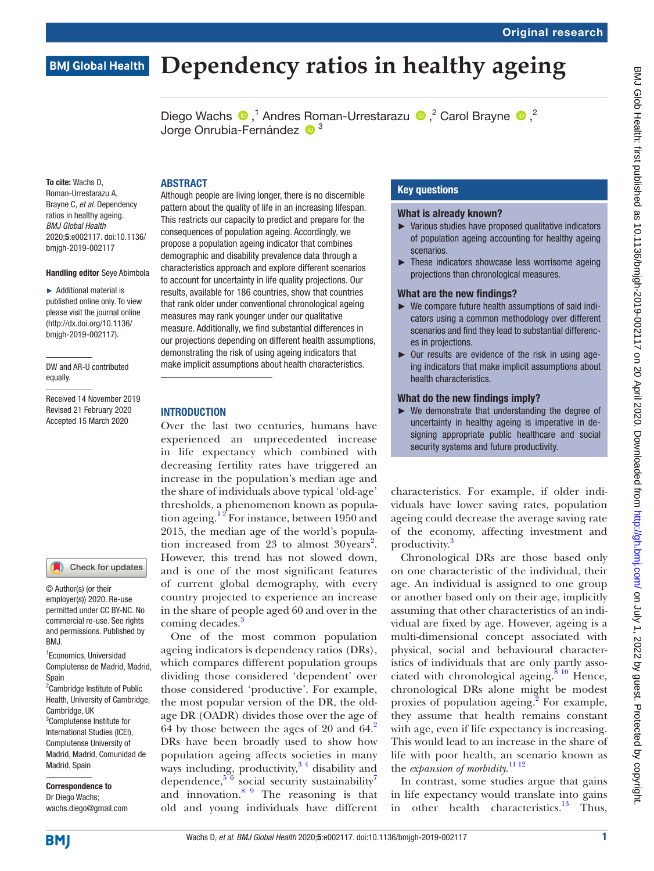# **BMJ Global Health**

# **Dependency ratios in healthy ageing**

DiegoWachs  $\bullet$ ,<sup>1</sup> Andres Roman-Urrestarazu  $\bullet$ ,<sup>2</sup> Carol Brayne  $\bullet$ ,<sup>2</sup> Jorge Onrubia-Fernández <sup>1</sup><sup>3</sup>

To cite: Wachs D, Roman-Urrestarazu A, Brayne C, *et al*. Dependency ratios in healthy ageing. *BMJ Global Health* 2020;5:e002117. doi:10.1136/ bmjgh-2019-002117

#### Handling editor Seye Abimbola

► Additional material is published online only. To view please visit the journal online (http://dx.doi.org/10.1136/ bmjgh-2019-002117).

DW and AR-U contributed equally.

Received 14 November 2019 Revised 21 February 2020 Accepted 15 March 2020



© Author(s) (or their employer(s)) 2020. Re-use permitted under CC BY-NC. No commercial re-use. See rights and permissions. Published by BMJ.

1 Economics, Universidad Complutense de Madrid, Madrid, Spain

<sup>2</sup> Cambridge Institute of Public Health, University of Cambridge, Cambridge, UK 3 Complutense Institute for International Studies (ICEI), Complutense University of Madrid, Madrid, Comunidad de Madrid, Spain

Correspondence to Dr Diego Wachs; wachs.diego@gmail.com **ABSTRACT** 

Although people are living longer, there is no discernible pattern about the quality of life in an increasing lifespan. This restricts our capacity to predict and prepare for the consequences of population ageing. Accordingly, we propose a population ageing indicator that combines demographic and disability prevalence data through a characteristics approach and explore different scenarios to account for uncertainty in life quality projections. Our results, available for 186 countries, show that countries that rank older under conventional chronological ageing measures may rank younger under our qualitative measure. Additionally, we find substantial differences in our projections depending on different health assumptions, demonstrating the risk of using ageing indicators that make implicit assumptions about health characteristics.

#### **INTRODUCTION**

Over the last two centuries, humans have experienced an unprecedented increase in life expectancy which combined with decreasing fertility rates have triggered an increase in the population's median age and the share of individuals above typical 'old-age' thresholds, a phenomenon known as population ageing.<sup>12</sup> For instance, between 1950 and 2015, the median age of the world's popula-tion increased from [2](#page-5-1)3 to almost  $30 \text{ years}^2$ . However, this trend has not slowed down, and is one of the most significant features of current global demography, with every country projected to experience an increase in the share of people aged 60 and over in the coming decades.<sup>[3](#page-5-2)</sup>

One of the most common population ageing indicators is dependency ratios (DRs), which compares different population groups dividing those considered 'dependent' over those considered 'productive'. For example, the most popular version of the DR, the oldage DR (OADR) divides those over the age of 64 by those between the ages of 20 and  $64<sup>2</sup>$ DRs have been broadly used to show how population ageing affects societies in many ways including, productivity,  $3<sup>4</sup>$  disability and dependence,  $5/6$  social security sustainability<sup>7</sup> and innovation.[8 9](#page-5-5) The reasoning is that old and young individuals have different

## Key questions

#### What is already known?

- ► Various studies have proposed qualitative indicators of population ageing accounting for healthy ageing scenarios.
- ► These indicators showcase less worrisome ageing projections than chronological measures.

#### What are the new findings?

- ► We compare future health assumptions of said indicators using a common methodology over different scenarios and find they lead to substantial differences in projections.
- $\triangleright$  Our results are evidence of the risk in using ageing indicators that make implicit assumptions about health characteristics.

#### What do the new findings imply?

► We demonstrate that understanding the degree of uncertainty in healthy ageing is imperative in designing appropriate public healthcare and social security systems and future productivity.

characteristics. For example, if older individuals have lower saving rates, population ageing could decrease the average saving rate of the economy, affecting investment and productivity.<sup>3</sup>

Chronological DRs are those based only on one characteristic of the individual, their age. An individual is assigned to one group or another based only on their age, implicitly assuming that other characteristics of an individual are fixed by age. However, ageing is a multi-dimensional concept associated with physical, social and behavioural characteristics of individuals that are only partly associated with chronological ageing.<sup>8 10</sup> Hence, chronological DRs alone might be modest proxies of population ageing. $\overline{2}$  $\overline{2}$  $\overline{2}$  For example, they assume that health remains constant with age, even if life expectancy is increasing. This would lead to an increase in the share of life with poor health, an scenario known as the *expansion of morbidity*. [11 12](#page-5-6)

In contrast, some studies argue that gains in life expectancy would translate into gains in other health characteristics.<sup>[13](#page-5-7)</sup> Thus,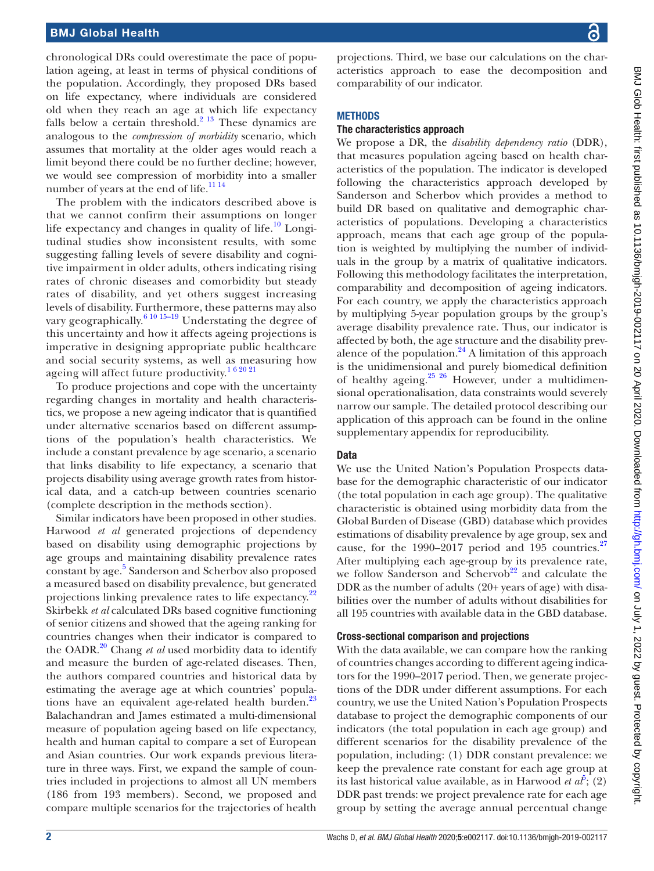chronological DRs could overestimate the pace of population ageing, at least in terms of physical conditions of the population. Accordingly, they proposed DRs based on life expectancy, where individuals are considered old when they reach an age at which life expectancy falls below a certain threshold. $2^{13}$  These dynamics are analogous to the *compression of morbidity* scenario, which assumes that mortality at the older ages would reach a limit beyond there could be no further decline; however, we would see compression of morbidity into a smaller number of years at the end of life.<sup>[11 14](#page-5-6)</sup>

The problem with the indicators described above is that we cannot confirm their assumptions on longer life expectancy and changes in quality of life.<sup>[10](#page-5-8)</sup> Longitudinal studies show inconsistent results, with some suggesting falling levels of severe disability and cognitive impairment in older adults, others indicating rising rates of chronic diseases and comorbidity but steady rates of disability, and yet others suggest increasing levels of disability. Furthermore, these patterns may also vary geographically. $6^{10}$  15–19 Understating the degree of this uncertainty and how it affects ageing projections is imperative in designing appropriate public healthcare and social security systems, as well as measuring how ageing will affect future productivity.<sup>162021</sup>

To produce projections and cope with the uncertainty regarding changes in mortality and health characteristics, we propose a new ageing indicator that is quantified under alternative scenarios based on different assumptions of the population's health characteristics. We include a constant prevalence by age scenario, a scenario that links disability to life expectancy, a scenario that projects disability using average growth rates from historical data, and a catch-up between countries scenario (complete description in the methods section).

Similar indicators have been proposed in other studies. Harwood *et al* generated projections of dependency based on disability using demographic projections by age groups and maintaining disability prevalence rates constant by age.<sup>5</sup> Sanderson and Scherbov also proposed a measured based on disability prevalence, but generated projections linking prevalence rates to life expectancy.<sup>22</sup> Skirbekk *et al* calculated DRs based cognitive functioning of senior citizens and showed that the ageing ranking for countries changes when their indicator is compared to the OADR.[20](#page-5-11) Chang *et al* used morbidity data to identify and measure the burden of age-related diseases. Then, the authors compared countries and historical data by estimating the average age at which countries' popula-tions have an equivalent age-related health burden.<sup>[23](#page-5-12)</sup> Balachandran and James estimated a multi-dimensional measure of population ageing based on life expectancy, health and human capital to compare a set of European and Asian countries. Our work expands previous literature in three ways. First, we expand the sample of countries included in projections to almost all UN members (186 from 193 members). Second, we proposed and compare multiple scenarios for the trajectories of health

projections. Third, we base our calculations on the characteristics approach to ease the decomposition and comparability of our indicator.

## **METHODS**

## The characteristics approach

We propose a DR, the *disability dependency ratio* (DDR), that measures population ageing based on health characteristics of the population. The indicator is developed following the characteristics approach developed by Sanderson and Scherbov which provides a method to build DR based on qualitative and demographic characteristics of populations. Developing a characteristics approach, means that each age group of the population is weighted by multiplying the number of individuals in the group by a matrix of qualitative indicators. Following this methodology facilitates the interpretation, comparability and decomposition of ageing indicators. For each country, we apply the characteristics approach by multiplying 5-year population groups by the group's average disability prevalence rate. Thus, our indicator is affected by both, the age structure and the disability prevalence of the population. $24$  A limitation of this approach is the unidimensional and purely biomedical definition of healthy ageing.<sup>25</sup>  $^{25}$  However, under a multidimensional operationalisation, data constraints would severely narrow our sample. The detailed protocol describing our application of this approach can be found in the [online](https://dx.doi.org/10.1136/bmjgh-2019-002117) [supplementary appendix](https://dx.doi.org/10.1136/bmjgh-2019-002117) for reproducibility.

## **Data**

We use the United Nation's Population Prospects database for the demographic characteristic of our indicator (the total population in each age group). The qualitative characteristic is obtained using morbidity data from the Global Burden of Disease (GBD) database which provides estimations of disability prevalence by age group, sex and cause, for the 1990–2017 period and 195 countries. $27$ After multiplying each age-group by its prevalence rate, we follow Sanderson and Schervob<sup>[22](#page-5-10)</sup> and calculate the DDR as the number of adults (20+ years of age) with disabilities over the number of adults without disabilities for all 195 countries with available data in the GBD database.

## Cross-sectional comparison and projections

With the data available, we can compare how the ranking of countries changes according to different ageing indicators for the 1990–2017 period. Then, we generate projections of the DDR under different assumptions. For each country, we use the United Nation's Population Prospects database to project the demographic components of our indicators (the total population in each age group) and different scenarios for the disability prevalence of the population, including: (1) DDR constant prevalence: we keep the prevalence rate constant for each age group at its last historical value available, as in Harwood *et*  $a^{\tilde{b}}$ ; (2) DDR past trends: we project prevalence rate for each age group by setting the average annual percentual change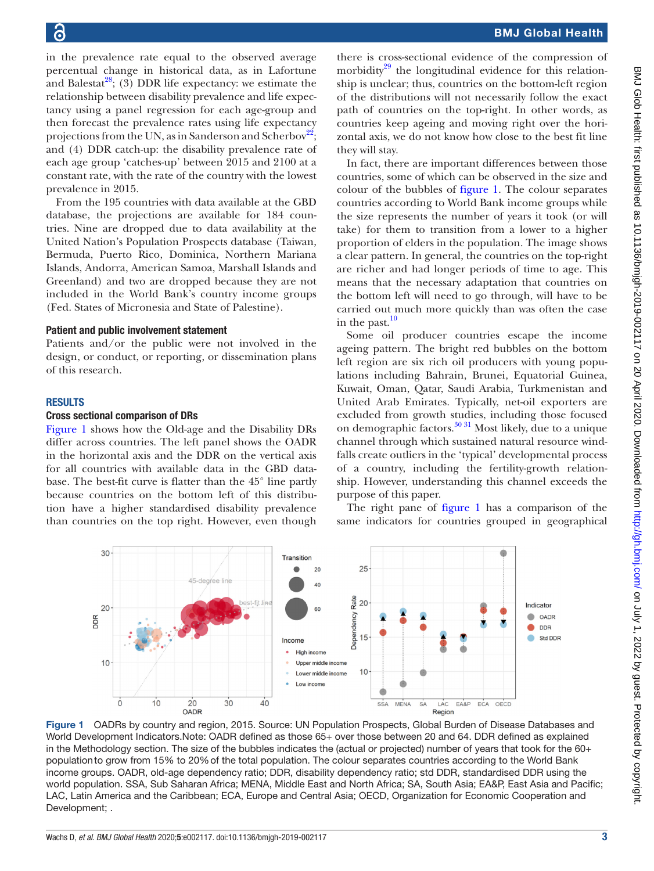in the prevalence rate equal to the observed average percentual change in historical data, as in Lafortune and Balestat<sup>[28](#page-5-16)</sup>; (3) DDR life expectancy: we estimate the relationship between disability prevalence and life expectancy using a panel regression for each age-group and then forecast the prevalence rates using life expectancy projections from the UN, as in Sanderson and Scherbov<sup>22</sup>; and (4) DDR catch-up: the disability prevalence rate of each age group 'catches-up' between 2015 and 2100 at a

prevalence in 2015. From the 195 countries with data available at the GBD database, the projections are available for 184 countries. Nine are dropped due to data availability at the United Nation's Population Prospects database (Taiwan, Bermuda, Puerto Rico, Dominica, Northern Mariana Islands, Andorra, American Samoa, Marshall Islands and Greenland) and two are dropped because they are not included in the World Bank's country income groups (Fed. States of Micronesia and State of Palestine).

constant rate, with the rate of the country with the lowest

#### Patient and public involvement statement

Patients and/or the public were not involved in the design, or conduct, or reporting, or dissemination plans of this research.

## **RESULTS**

## Cross sectional comparison of DRs

[Figure](#page-2-0) 1 shows how the Old-age and the Disability DRs differ across countries. The left panel shows the OADR in the horizontal axis and the DDR on the vertical axis for all countries with available data in the GBD database. The best-fit curve is flatter than the 45° line partly because countries on the bottom left of this distribution have a higher standardised disability prevalence than countries on the top right. However, even though

there is cross-sectional evidence of the compression of morbidity $^{29}$  the longitudinal evidence for this relationship is unclear; thus, countries on the bottom-left region of the distributions will not necessarily follow the exact path of countries on the top-right. In other words, as countries keep ageing and moving right over the horizontal axis, we do not know how close to the best fit line they will stay.

In fact, there are important differences between those countries, some of which can be observed in the size and colour of the bubbles of [figure](#page-2-0) 1. The colour separates countries according to World Bank income groups while the size represents the number of years it took (or will take) for them to transition from a lower to a higher proportion of elders in the population. The image shows a clear pattern. In general, the countries on the top-right are richer and had longer periods of time to age. This means that the necessary adaptation that countries on the bottom left will need to go through, will have to be carried out much more quickly than was often the case in the past. $10$ 

Some oil producer countries escape the income ageing pattern. The bright red bubbles on the bottom left region are six rich oil producers with young populations including Bahrain, Brunei, Equatorial Guinea, Kuwait, Oman, Qatar, Saudi Arabia, Turkmenistan and United Arab Emirates. Typically, net-oil exporters are excluded from growth studies, including those focused on demographic factors. $3031$  Most likely, due to a unique channel through which sustained natural resource windfalls create outliers in the 'typical' developmental process of a country, including the fertility-growth relationship. However, understanding this channel exceeds the purpose of this paper.

The right pane of [figure](#page-2-0) 1 has a comparison of the same indicators for countries grouped in geographical



<span id="page-2-0"></span>Figure 1 OADRs by country and region, 2015. Source: UN Population Prospects, Global Burden of Disease Databases and World Development Indicators.Note: OADR defined as those 65+ over those between 20 and 64. DDR defined as explained in the Methodology section. The size of the bubbles indicates the (actual or projected) number of years that took for the 60+ populationto grow from 15% to 20%of the total population. The colour separates countries according to the World Bank income groups. OADR, old-age dependency ratio; DDR, disability dependency ratio; std DDR, standardised DDR using the world population. SSA, Sub Saharan Africa; MENA, Middle East and North Africa; SA, South Asia; EA&P, East Asia and Pacific; LAC, Latin America and the Caribbean; ECA, Europe and Central Asia; OECD, Organization for Economic Cooperation and Development; .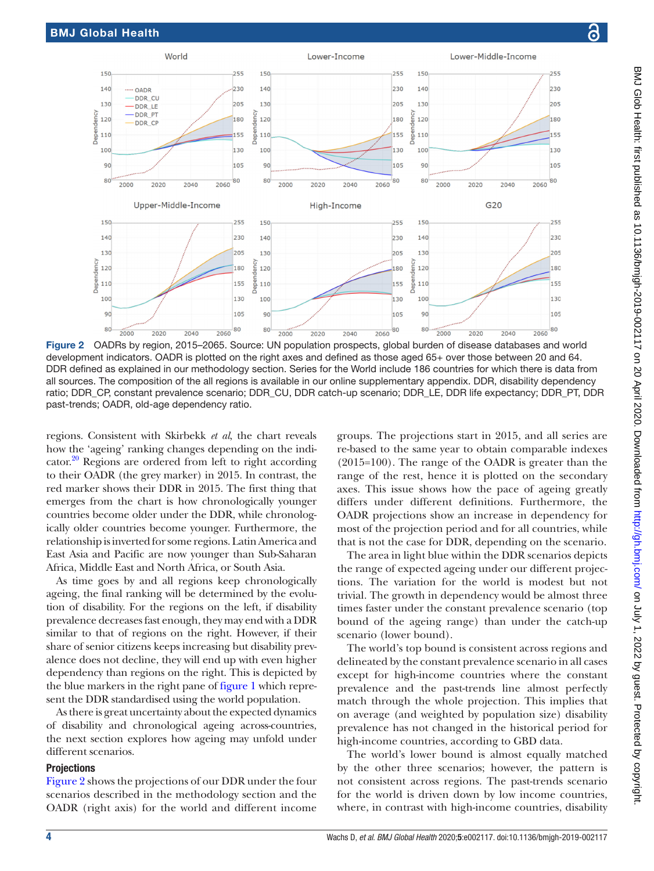

<span id="page-3-0"></span>Figure 2 OADRs by region, 2015–2065. Source: UN population prospects, global burden of disease databases and world development indicators. OADR is plotted on the right axes and defined as those aged 65+ over those between 20 and 64. DDR defined as explained in our methodology section. Series for the World include 186 countries for which there is data from all sources. The composition of the all regions is available in our [online supplementary appendix](https://dx.doi.org/10.1136/bmjgh-2019-002117). DDR, disability dependency ratio; DDR\_CP, constant prevalence scenario; DDR\_CU, DDR catch-up scenario; DDR\_LE, DDR life expectancy; DDR\_PT, DDR past-trends; OADR, old-age dependency ratio.

regions. Consistent with Skirbekk *et al*, the chart reveals how the 'ageing' ranking changes depending on the indicator.<sup>20</sup> Regions are ordered from left to right according to their OADR (the grey marker) in 2015. In contrast, the red marker shows their DDR in 2015. The first thing that emerges from the chart is how chronologically younger countries become older under the DDR, while chronologically older countries become younger. Furthermore, the relationship is inverted for some regions. Latin America and East Asia and Pacific are now younger than Sub-Saharan Africa, Middle East and North Africa, or South Asia.

As time goes by and all regions keep chronologically ageing, the final ranking will be determined by the evolution of disability. For the regions on the left, if disability prevalence decreases fast enough, they may end with a DDR similar to that of regions on the right. However, if their share of senior citizens keeps increasing but disability prevalence does not decline, they will end up with even higher dependency than regions on the right. This is depicted by the blue markers in the right pane of [figure](#page-2-0) 1 which represent the DDR standardised using the world population.

As there is great uncertainty about the expected dynamics of disability and chronological ageing across-countries, the next section explores how ageing may unfold under different scenarios.

## **Projections**

[Figure](#page-3-0) 2 shows the projections of our DDR under the four scenarios described in the methodology section and the OADR (right axis) for the world and different income

groups. The projections start in 2015, and all series are re-based to the same year to obtain comparable indexes (2015=100). The range of the OADR is greater than the range of the rest, hence it is plotted on the secondary axes. This issue shows how the pace of ageing greatly differs under different definitions. Furthermore, the OADR projections show an increase in dependency for most of the projection period and for all countries, while that is not the case for DDR, depending on the scenario.

The area in light blue within the DDR scenarios depicts the range of expected ageing under our different projections. The variation for the world is modest but not trivial. The growth in dependency would be almost three times faster under the constant prevalence scenario (top bound of the ageing range) than under the catch-up scenario (lower bound).

The world's top bound is consistent across regions and delineated by the constant prevalence scenario in all cases except for high-income countries where the constant prevalence and the past-trends line almost perfectly match through the whole projection. This implies that on average (and weighted by population size) disability prevalence has not changed in the historical period for high-income countries, according to GBD data.

The world's lower bound is almost equally matched by the other three scenarios; however, the pattern is not consistent across regions. The past-trends scenario for the world is driven down by low income countries, where, in contrast with high-income countries, disability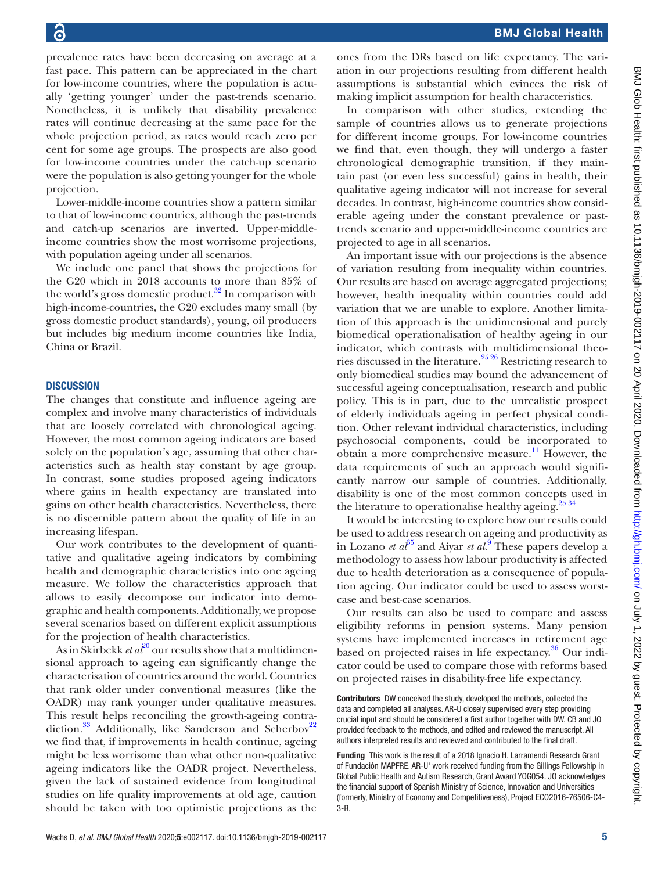prevalence rates have been decreasing on average at a fast pace. This pattern can be appreciated in the chart for low-income countries, where the population is actually 'getting younger' under the past-trends scenario. Nonetheless, it is unlikely that disability prevalence rates will continue decreasing at the same pace for the whole projection period, as rates would reach zero per cent for some age groups. The prospects are also good for low-income countries under the catch-up scenario were the population is also getting younger for the whole projection.

Lower-middle-income countries show a pattern similar to that of low-income countries, although the past-trends and catch-up scenarios are inverted. Upper-middleincome countries show the most worrisome projections, with population ageing under all scenarios.

We include one panel that shows the projections for the G20 which in 2018 accounts to more than 85% of the world's gross domestic product.<sup>32</sup> In comparison with high-income-countries, the G20 excludes many small (by gross domestic product standards), young, oil producers but includes big medium income countries like India, China or Brazil.

## **DISCUSSION**

The changes that constitute and influence ageing are complex and involve many characteristics of individuals that are loosely correlated with chronological ageing. However, the most common ageing indicators are based solely on the population's age, assuming that other characteristics such as health stay constant by age group. In contrast, some studies proposed ageing indicators where gains in health expectancy are translated into gains on other health characteristics. Nevertheless, there is no discernible pattern about the quality of life in an increasing lifespan.

Our work contributes to the development of quantitative and qualitative ageing indicators by combining health and demographic characteristics into one ageing measure. We follow the characteristics approach that allows to easily decompose our indicator into demographic and health components. Additionally, we propose several scenarios based on different explicit assumptions for the projection of health characteristics.

As in Skirbekk *et al*<sup>[20](#page-5-11)</sup> our results show that a multidimensional approach to ageing can significantly change the characterisation of countries around the world. Countries that rank older under conventional measures (like the OADR) may rank younger under qualitative measures. This result helps reconciling the growth-ageing contradiction.<sup>33</sup> Additionally, like Sanderson and Scherbov<sup>22</sup> we find that, if improvements in health continue, ageing might be less worrisome than what other non-qualitative ageing indicators like the OADR project. Nevertheless, given the lack of sustained evidence from longitudinal studies on life quality improvements at old age, caution should be taken with too optimistic projections as the

ones from the DRs based on life expectancy. The variation in our projections resulting from different health assumptions is substantial which evinces the risk of making implicit assumption for health characteristics.

In comparison with other studies, extending the sample of countries allows us to generate projections for different income groups. For low-income countries we find that, even though, they will undergo a faster chronological demographic transition, if they maintain past (or even less successful) gains in health, their qualitative ageing indicator will not increase for several decades. In contrast, high-income countries show considerable ageing under the constant prevalence or pasttrends scenario and upper-middle-income countries are projected to age in all scenarios.

An important issue with our projections is the absence of variation resulting from inequality within countries. Our results are based on average aggregated projections; however, health inequality within countries could add variation that we are unable to explore. Another limitation of this approach is the unidimensional and purely biomedical operationalisation of healthy ageing in our indicator, which contrasts with multidimensional theories discussed in the literature.<sup>25 26</sup> Restricting research to only biomedical studies may bound the advancement of successful ageing conceptualisation, research and public policy. This is in part, due to the unrealistic prospect of elderly individuals ageing in perfect physical condition. Other relevant individual characteristics, including psychosocial components, could be incorporated to obtain a more comprehensive measure.<sup>[11](#page-5-6)</sup> However, the data requirements of such an approach would significantly narrow our sample of countries. Additionally, disability is one of the most common concepts used in the literature to operationalise healthy ageing.<sup>[25 34](#page-5-14)</sup>

It would be interesting to explore how our results could be used to address research on ageing and productivity as in Lozano *et al*<sup>[35](#page-5-21)</sup> and Aiyar *et al*.<sup>[9](#page-5-22)</sup> These papers develop a methodology to assess how labour productivity is affected due to health deterioration as a consequence of population ageing. Our indicator could be used to assess worstcase and best-case scenarios.

Our results can also be used to compare and assess eligibility reforms in pension systems. Many pension systems have implemented increases in retirement age based on projected raises in life expectancy.<sup>36</sup> Our indicator could be used to compare those with reforms based on projected raises in disability-free life expectancy.

Contributors DW conceived the study, developed the methods, collected the data and completed all analyses. AR-U closely supervised every step providing crucial input and should be considered a first author together with DW. CB and JO provided feedback to the methods, and edited and reviewed the manuscript. All authors interpreted results and reviewed and contributed to the final draft.

Funding This work is the result of a 2018 Ignacio H. Larramendi Research Grant of Fundación MAPFRE. AR-U' work received funding from the Gillings Fellowship in Global Public Health and Autism Research, Grant Award YOG054. JO acknowledges the financial support of Spanish Ministry of Science, Innovation and Universities (formerly, Ministry of Economy and Competitiveness), Project ECO2016-76506-C4- 3-R.